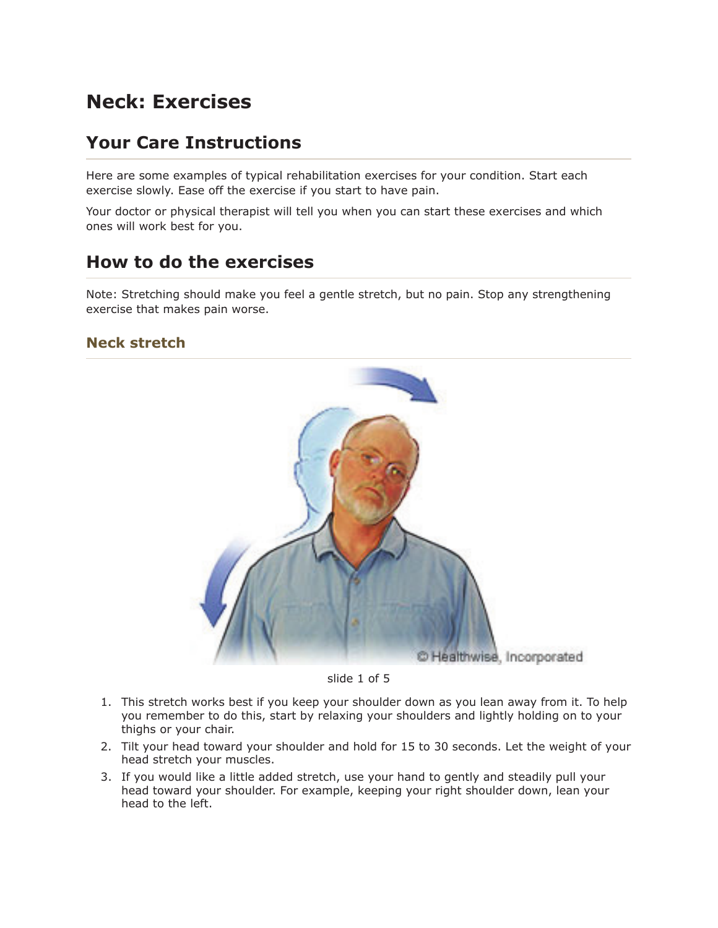# **Neck: Exercises**

## **Your Care Instructions**

Here are some examples of typical rehabilitation exercises for your condition. Start each exercise slowly. Ease off the exercise if you start to have pain.

Your doctor or physical therapist will tell you when you can start these exercises and which ones will work best for you.

### **How to do the exercises**

Note: Stretching should make you feel a gentle stretch, but no pain. Stop any strengthening exercise that makes pain worse.

#### **Neck stretch**



slide 1 of 5

- 1. This stretch works best if you keep your shoulder down as you lean away from it. To help you remember to do this, start by relaxing your shoulders and lightly holding on to your thighs or your chair.
- 2. Tilt your head toward your shoulder and hold for 15 to 30 seconds. Let the weight of your head stretch your muscles.
- 3. If you would like a little added stretch, use your hand to gently and steadily pull your head toward your shoulder. For example, keeping your right shoulder down, lean your head to the left.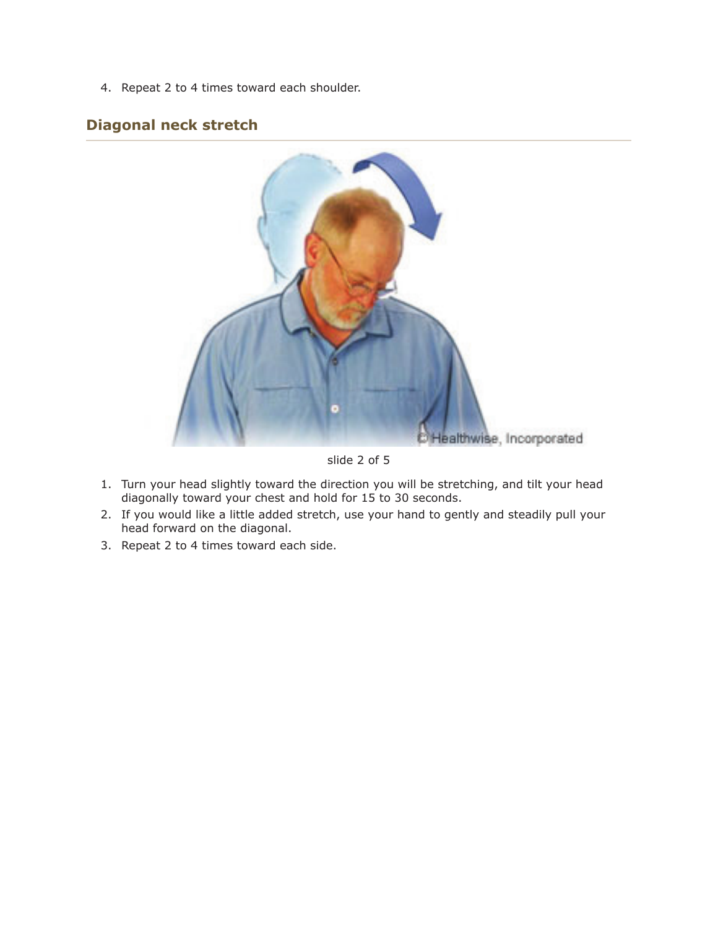4. Repeat 2 to 4 times toward each shoulder.

### **Diagonal neck stretch**



slide 2 of 5

- 1. Turn your head slightly toward the direction you will be stretching, and tilt your head diagonally toward your chest and hold for 15 to 30 seconds.
- 2. If you would like a little added stretch, use your hand to gently and steadily pull your head forward on the diagonal.
- 3. Repeat 2 to 4 times toward each side.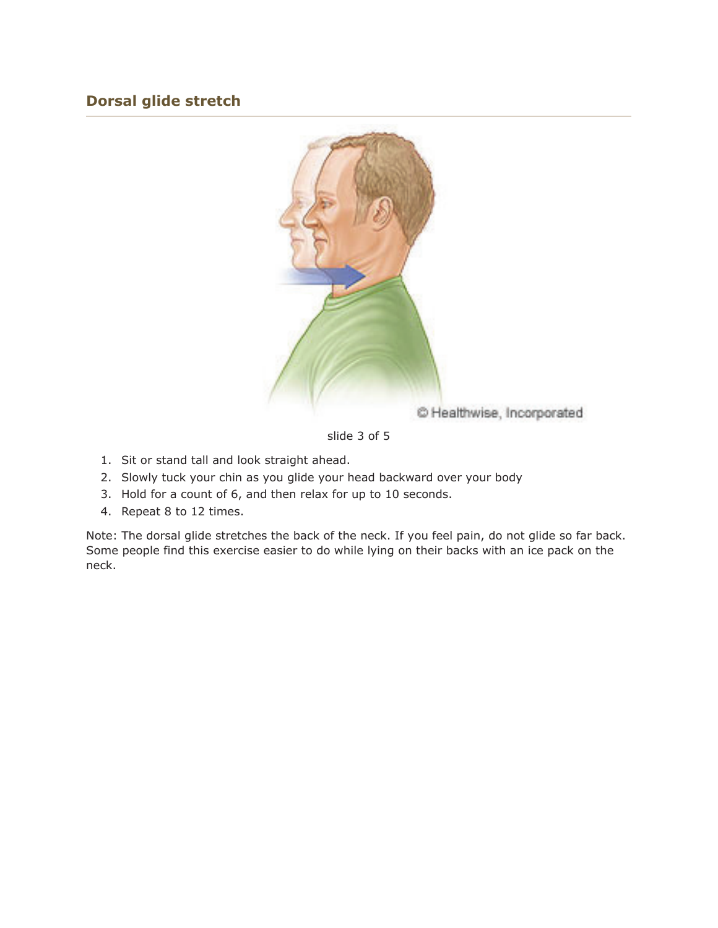### **Dorsal glide stretch**



slide 3 of 5

- 1. Sit or stand tall and look straight ahead.
- 2. Slowly tuck your chin as you glide your head backward over your body
- 3. Hold for a count of 6, and then relax for up to 10 seconds.
- 4. Repeat 8 to 12 times.

Note: The dorsal glide stretches the back of the neck. If you feel pain, do not glide so far back. Some people find this exercise easier to do while lying on their backs with an ice pack on the neck.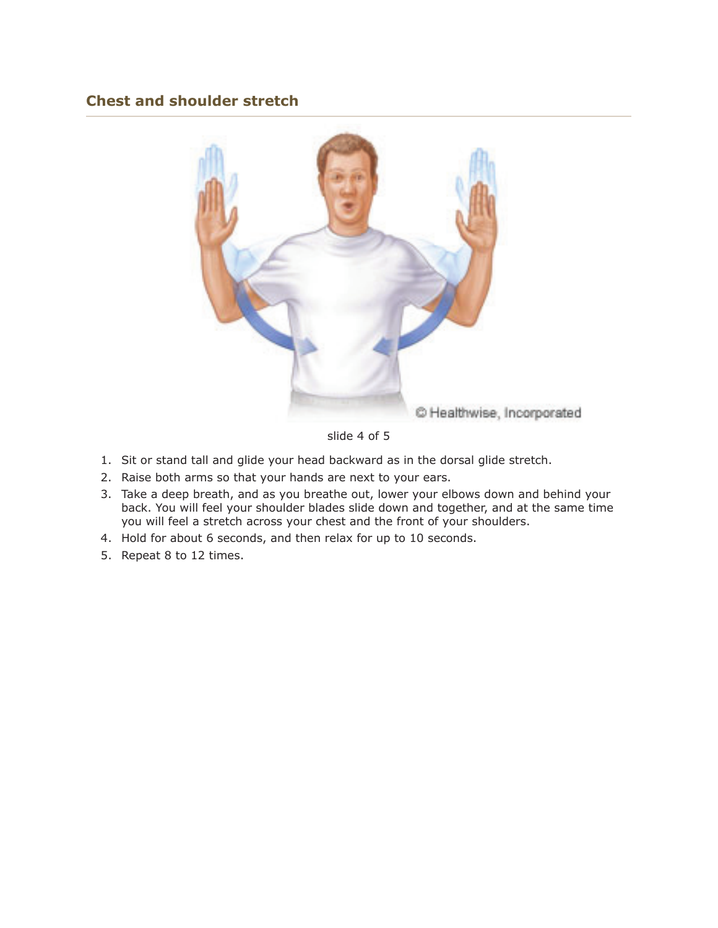#### **Chest and shoulder stretch**



slide 4 of 5

- 1. Sit or stand tall and glide your head backward as in the dorsal glide stretch.
- 2. Raise both arms so that your hands are next to your ears.
- 3. Take a deep breath, and as you breathe out, lower your elbows down and behind your back. You will feel your shoulder blades slide down and together, and at the same time you will feel a stretch across your chest and the front of your shoulders.
- 4. Hold for about 6 seconds, and then relax for up to 10 seconds.
- 5. Repeat 8 to 12 times.